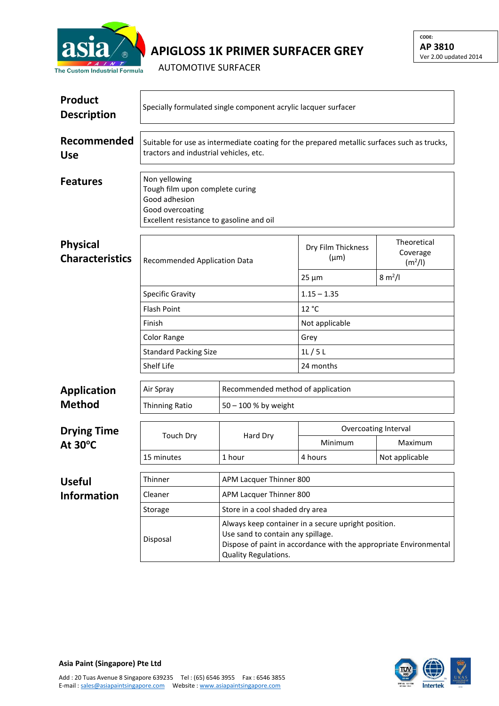

## **APIGLOSS 1K PRIMER SURFACER GREY**

**CODE: AP 3810** Ver 2.00 updated 2014

AUTOMOTIVE SURFACER

| <b>Product</b><br><b>Description</b>      | Specially formulated single component acrylic lacquer surfacer                                                                        |                                                                                                                                                                                       |                                   |                                                |  |  |
|-------------------------------------------|---------------------------------------------------------------------------------------------------------------------------------------|---------------------------------------------------------------------------------------------------------------------------------------------------------------------------------------|-----------------------------------|------------------------------------------------|--|--|
| Recommended<br><b>Use</b>                 | Suitable for use as intermediate coating for the prepared metallic surfaces such as trucks,<br>tractors and industrial vehicles, etc. |                                                                                                                                                                                       |                                   |                                                |  |  |
| <b>Features</b>                           | Non yellowing<br>Tough film upon complete curing<br>Good adhesion<br>Good overcoating<br>Excellent resistance to gasoline and oil     |                                                                                                                                                                                       |                                   |                                                |  |  |
| <b>Physical</b><br><b>Characteristics</b> | Recommended Application Data                                                                                                          |                                                                                                                                                                                       | Dry Film Thickness<br>$(\mu m)$   | Theoretical<br>Coverage<br>(m <sup>2</sup> /I) |  |  |
|                                           |                                                                                                                                       |                                                                                                                                                                                       | $25 \mu m$                        | $8 \text{ m}^2$ /l                             |  |  |
|                                           | <b>Specific Gravity</b>                                                                                                               |                                                                                                                                                                                       | $1.15 - 1.35$                     |                                                |  |  |
|                                           | <b>Flash Point</b>                                                                                                                    |                                                                                                                                                                                       | 12 °C                             |                                                |  |  |
|                                           | Finish                                                                                                                                |                                                                                                                                                                                       | Not applicable                    |                                                |  |  |
|                                           | Color Range                                                                                                                           |                                                                                                                                                                                       | Grey                              |                                                |  |  |
|                                           | <b>Standard Packing Size</b>                                                                                                          |                                                                                                                                                                                       | 1L/5L                             |                                                |  |  |
|                                           | Shelf Life                                                                                                                            |                                                                                                                                                                                       | 24 months                         |                                                |  |  |
| <b>Application</b>                        | Air Spray                                                                                                                             |                                                                                                                                                                                       | Recommended method of application |                                                |  |  |
| <b>Method</b>                             | Thinning Ratio                                                                                                                        | 50 - 100 % by weight                                                                                                                                                                  |                                   |                                                |  |  |
| <b>Drying Time</b><br>At 30°C             | <b>Touch Dry</b>                                                                                                                      | Hard Dry                                                                                                                                                                              | <b>Overcoating Interval</b>       |                                                |  |  |
|                                           |                                                                                                                                       |                                                                                                                                                                                       | Minimum                           | Maximum                                        |  |  |
|                                           | 15 minutes                                                                                                                            | 1 hour                                                                                                                                                                                | 4 hours                           | Not applicable                                 |  |  |
| <b>Useful</b>                             | Thinner<br>APM Lacquer Thinner 800                                                                                                    |                                                                                                                                                                                       |                                   |                                                |  |  |
| <b>Information</b>                        | Cleaner                                                                                                                               | APM Lacquer Thinner 800                                                                                                                                                               |                                   |                                                |  |  |
|                                           | Storage                                                                                                                               | Store in a cool shaded dry area                                                                                                                                                       |                                   |                                                |  |  |
|                                           | Disposal                                                                                                                              | Always keep container in a secure upright position.<br>Use sand to contain any spillage.<br>Dispose of paint in accordance with the appropriate Environmental<br>Quality Regulations. |                                   |                                                |  |  |